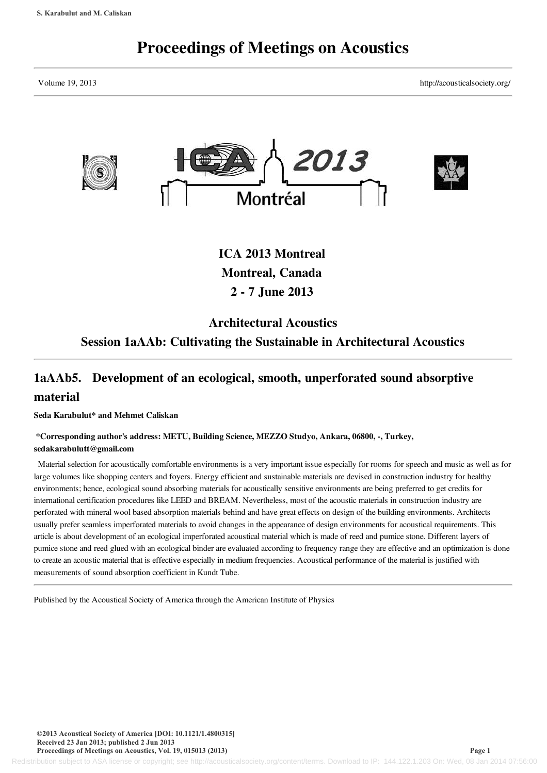# Proceedings of Meetings on Acoustics

Volume 19, 2013 http://acousticalsociety.org/





ICA 2013 Montreal Montreal, Canada 2 - 7 June 2013

# Architectural Acoustics

# Session 1aAAb: Cultivating the Sustainable in Architectural Acoustics

# 1aAAb5. Development of an ecological, smooth, unperforated sound absorptive material

Seda Karabulut\* and Mehmet Caliskan

## \*Corresponding author's address: METU, Building Science, MEZZO Studyo, Ankara, 06800, -, Turkey, sedakarabulutt@gmail.com

Material selection for acoustically comfortable environments is a very important issue especially for rooms for speech and music as well as for large volumes like shopping centers and foyers. Energy efficient and sustainable materials are devised in construction industry for healthy environments; hence, ecological sound absorbing materials for acoustically sensitive environments are being preferred to get credits for international certification procedures like LEED and BREAM. Nevertheless, most of the acoustic materials in construction industry are perforated with mineral wool based absorption materials behind and have great effects on design of the building environments. Architects usually prefer seamless imperforated materials to avoid changes in the appearance of design environments for acoustical requirements. This article is about development of an ecological imperforated acoustical material which is made of reed and pumice stone. Different layers of pumice stone and reed glued with an ecological binder are evaluated according to frequency range they are effective and an optimization is done to create an acoustic material that is effective especially in medium frequencies. Acoustical performance of the material is justified with measurements of sound absorption coefficient in Kundt Tube.

Published by the Acoustical Society of America through the American Institute of Physics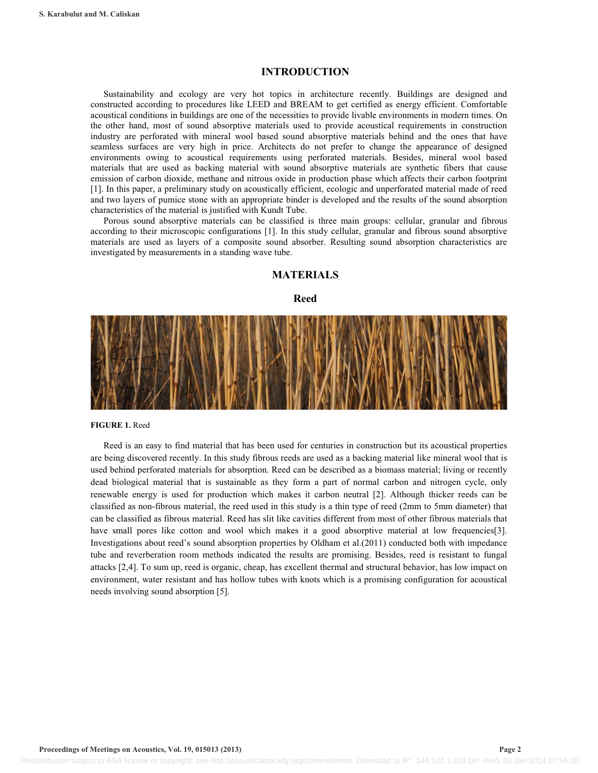#### **INTRODUCTION**

Sustainability and ecology are very hot topics in architecture recently. Buildings are designed and constructed according to procedures like LEED and BREAM to get certified as energy efficient. Comfortable acoustical conditions in buildings are one of the necessities to provide livable environments in modern times. On the other hand, most of sound absorptive materials used to provide acoustical requirements in construction industry are perforated with mineral wool based sound absorptive materials behind and the ones that have seamless surfaces are very high in price. Architects do not prefer to change the appearance of designed environments owing to acoustical requirements using perforated materials. Besides, mineral wool based materials that are used as backing material with sound absorptive materials are synthetic fibers that cause emission of carbon dioxide, methane and nitrous oxide in production phase which affects their carbon footprint [1]. In this paper, a preliminary study on acoustically efficient, ecologic and unperforated material made of reed and two layers of pumice stone with an appropriate binder is developed and the results of the sound absorption characteristics of the material is justified with Kundt Tube.

Porous sound absorptive materials can be classified is three main groups: cellular, granular and fibrous according to their microscopic configurations [1]. In this study cellular, granular and fibrous sound absorptive materials are used as layers of a composite sound absorber. Resulting sound absorption characteristics are investigated by measurements in a standing wave tube.

#### **MATERIALS**

#### **Reed**



#### **FIGURE 1.** Reed

Reed is an easy to find material that has been used for centuries in construction but its acoustical properties are being discovered recently. In this study fibrous reeds are used as a backing material like mineral wool that is used behind perforated materials for absorption. Reed can be described as a biomass material; living or recently dead biological material that is sustainable as they form a part of normal carbon and nitrogen cycle, only renewable energy is used for production which makes it carbon neutral [2]. Although thicker reeds can be classified as non-fibrous material, the reed used in this study is a thin type of reed (2mm to 5mm diameter) that can be classified as fibrous material. Reed has slit like cavities different from most of other fibrous materials that have small pores like cotton and wool which makes it a good absorptive material at low frequencies[3]. Investigations about reed's sound absorption properties by Oldham et al.(2011) conducted both with impedance tube and reverberation room methods indicated the results are promising. Besides, reed is resistant to fungal attacks [2,4]. To sum up, reed is organic, cheap, has excellent thermal and structural behavior, has low impact on environment, water resistant and has hollow tubes with knots which is a promising configuration for acoustical needs involving sound absorption [5].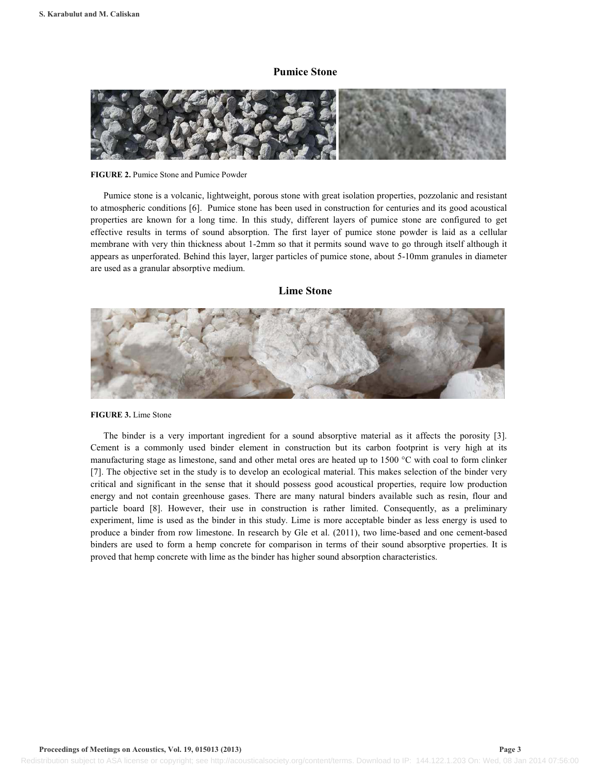#### **Pumice Stone**



**FIGURE 2.** Pumice Stone and Pumice Powder

Pumice stone is a volcanic, lightweight, porous stone with great isolation properties, pozzolanic and resistant to atmospheric conditions [6]. Pumice stone has been used in construction for centuries and its good acoustical properties are known for a long time. In this study, different layers of pumice stone are configured to get effective results in terms of sound absorption. The first layer of pumice stone powder is laid as a cellular membrane with very thin thickness about 1-2mm so that it permits sound wave to go through itself although it appears as unperforated. Behind this layer, larger particles of pumice stone, about 5-10mm granules in diameter are used as a granular absorptive medium.

#### **Lime Stone**



#### **FIGURE 3.** Lime Stone

The binder is a very important ingredient for a sound absorptive material as it affects the porosity [3]. Cement is a commonly used binder element in construction but its carbon footprint is very high at its manufacturing stage as limestone, sand and other metal ores are heated up to 1500 °C with coal to form clinker [7]. The objective set in the study is to develop an ecological material. This makes selection of the binder very critical and significant in the sense that it should possess good acoustical properties, require low production energy and not contain greenhouse gases. There are many natural binders available such as resin, flour and particle board [8]. However, their use in construction is rather limited. Consequently, as a preliminary experiment, lime is used as the binder in this study. Lime is more acceptable binder as less energy is used to produce a binder from row limestone. In research by Gle et al. (2011), two lime-based and one cement-based binders are used to form a hemp concrete for comparison in terms of their sound absorptive properties. It is proved that hemp concrete with lime as the binder has higher sound absorption characteristics.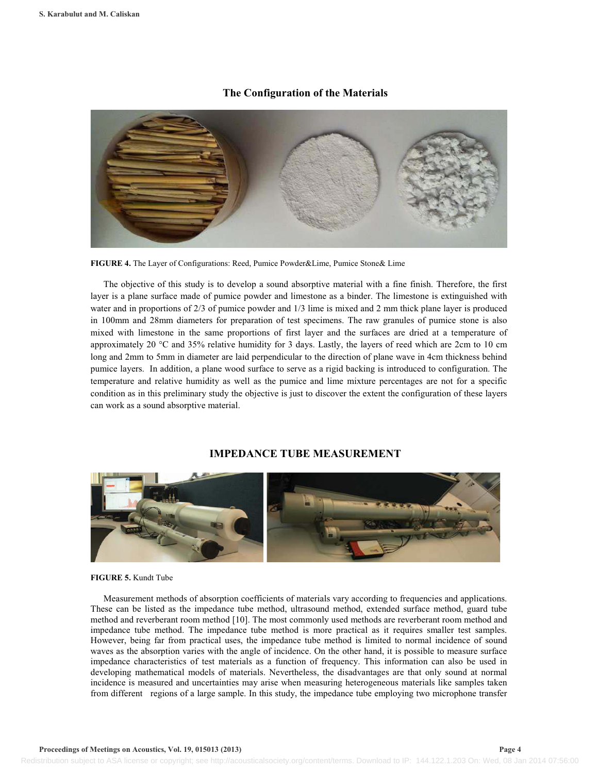#### **The Configuration of the Materials**



**FIGURE 4.** The Layer of Configurations: Reed, Pumice Powder&Lime, Pumice Stone& Lime

The objective of this study is to develop a sound absorptive material with a fine finish. Therefore, the first layer is a plane surface made of pumice powder and limestone as a binder. The limestone is extinguished with water and in proportions of 2/3 of pumice powder and 1/3 lime is mixed and 2 mm thick plane layer is produced in 100mm and 28mm diameters for preparation of test specimens. The raw granules of pumice stone is also mixed with limestone in the same proportions of first layer and the surfaces are dried at a temperature of approximately 20 °C and 35% relative humidity for 3 days. Lastly, the layers of reed which are 2cm to 10 cm long and 2mm to 5mm in diameter are laid perpendicular to the direction of plane wave in 4cm thickness behind pumice layers. In addition, a plane wood surface to serve as a rigid backing is introduced to configuration. The temperature and relative humidity as well as the pumice and lime mixture percentages are not for a specific condition as in this preliminary study the objective is just to discover the extent the configuration of these layers can work as a sound absorptive material.

#### **IMPEDANCE TUBE MEASUREMENT**



#### **FIGURE 5.** Kundt Tube

Measurement methods of absorption coefficients of materials vary according to frequencies and applications. These can be listed as the impedance tube method, ultrasound method, extended surface method, guard tube method and reverberant room method [10]. The most commonly used methods are reverberant room method and impedance tube method. The impedance tube method is more practical as it requires smaller test samples. However, being far from practical uses, the impedance tube method is limited to normal incidence of sound waves as the absorption varies with the angle of incidence. On the other hand, it is possible to measure surface impedance characteristics of test materials as a function of frequency. This information can also be used in developing mathematical models of materials. Nevertheless, the disadvantages are that only sound at normal incidence is measured and uncertainties may arise when measuring heterogeneous materials like samples taken from different regions of a large sample. In this study, the impedance tube employing two microphone transfer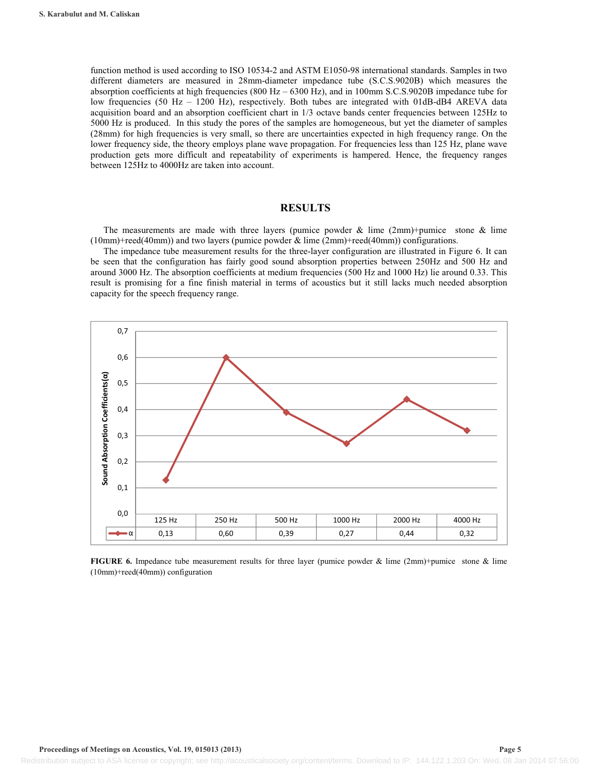function method is used according to ISO 10534-2 and ASTM E1050-98 international standards. Samples in two different diameters are measured in 28mm-diameter impedance tube (S.C.S.9020B) which measures the absorption coefficients at high frequencies (800 Hz – 6300 Hz), and in 100mm S.C.S.9020B impedance tube for low frequencies (50 Hz – 1200 Hz), respectively. Both tubes are integrated with 01dB-dB4 AREVA data acquisition board and an absorption coefficient chart in 1/3 octave bands center frequencies between 125Hz to 5000 Hz is produced. In this study the pores of the samples are homogeneous, but yet the diameter of samples (28mm) for high frequencies is very small, so there are uncertainties expected in high frequency range. On the lower frequency side, the theory employs plane wave propagation. For frequencies less than 125 Hz, plane wave production gets more difficult and repeatability of experiments is hampered. Hence, the frequency ranges between 125Hz to 4000Hz are taken into account.

#### **RESULTS**

The measurements are made with three layers (pumice powder  $\&$  lime (2mm)+pumice stone  $\&$  lime (10mm)+reed(40mm)) and two layers (pumice powder & lime (2mm)+reed(40mm)) configurations.

The impedance tube measurement results for the three-layer configuration are illustrated in Figure 6. It can be seen that the configuration has fairly good sound absorption properties between 250Hz and 500 Hz and around 3000 Hz. The absorption coefficients at medium frequencies (500 Hz and 1000 Hz) lie around 0.33. This result is promising for a fine finish material in terms of acoustics but it still lacks much needed absorption capacity for the speech frequency range.



**FIGURE 6.** Impedance tube measurement results for three layer (pumice powder & lime (2mm)+pumice stone & lime (10mm)+reed(40mm)) configuration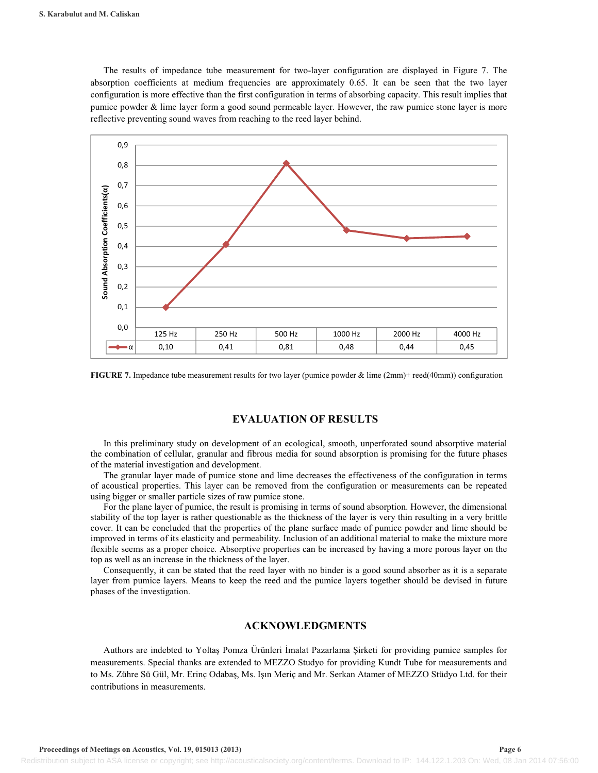The results of impedance tube measurement for two-layer configuration are displayed in Figure 7. The absorption coefficients at medium frequencies are approximately 0.65. It can be seen that the two layer configuration is more effective than the first configuration in terms of absorbing capacity. This result implies that pumice powder & lime layer form a good sound permeable layer. However, the raw pumice stone layer is more reflective preventing sound waves from reaching to the reed layer behind.



**FIGURE 7.** Impedance tube measurement results for two layer (pumice powder & lime (2mm)+ reed(40mm)) configuration

### **EVALUATION OF RESULTS**

In this preliminary study on development of an ecological, smooth, unperforated sound absorptive material the combination of cellular, granular and fibrous media for sound absorption is promising for the future phases of the material investigation and development.

The granular layer made of pumice stone and lime decreases the effectiveness of the configuration in terms of acoustical properties. This layer can be removed from the configuration or measurements can be repeated using bigger or smaller particle sizes of raw pumice stone.

For the plane layer of pumice, the result is promising in terms of sound absorption. However, the dimensional stability of the top layer is rather questionable as the thickness of the layer is very thin resulting in a very brittle cover. It can be concluded that the properties of the plane surface made of pumice powder and lime should be improved in terms of its elasticity and permeability. Inclusion of an additional material to make the mixture more flexible seems as a proper choice. Absorptive properties can be increased by having a more porous layer on the top as well as an increase in the thickness of the layer.

Consequently, it can be stated that the reed layer with no binder is a good sound absorber as it is a separate layer from pumice layers. Means to keep the reed and the pumice layers together should be devised in future phases of the investigation.

#### **ACKNOWLEDGMENTS**

Authors are indebted to Yoltaş Pomza Ürünleri İmalat Pazarlama Şirketi for providing pumice samples for measurements. Special thanks are extended to MEZZO Studyo for providing Kundt Tube for measurements and to Ms. Zühre Sü Gül, Mr. Erinç Odabaş, Ms. Işın Meriç and Mr. Serkan Atamer of MEZZO Stüdyo Ltd. for their contributions in measurements.